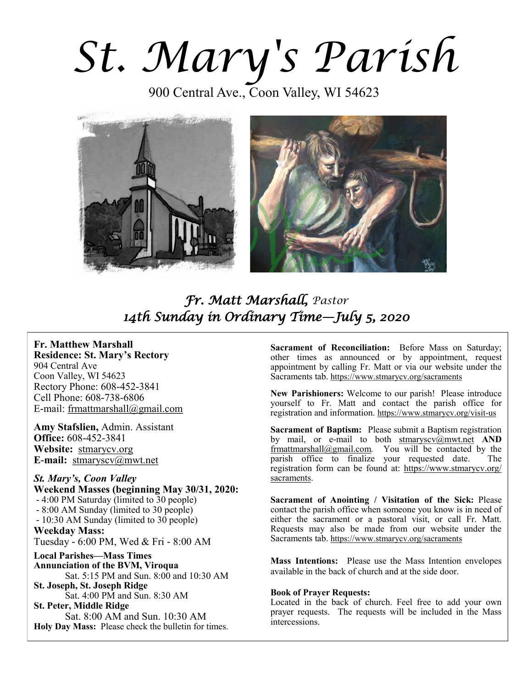*St. Mary's Parish* 

900 Central Ave., Coon Valley, WI 54623



# *Fr. Matt Marshall, Pastor 14th Sunday in Ordinary Time—July 5, 2020*

## **Fr. Matthew Marshall**

**Residence: St. Mary's Rectory** 904 Central Ave Coon Valley, WI 54623 Rectory Phone: 608-452-3841 Cell Phone: 608-738-6806 E-mail: [frmattmarshall@gmail.com](mailto:frmattmarshall@gmail.com)

**Amy Stafslien,** Admin. Assistant **Office:** 608-452-3841 **Website:** <stmarycv.org> **E-mail:** [stmaryscv@mwt.net](mailto:stmaryscv@mwt.net)

*St. Mary's, Coon Valley*  **Weekend Masses (beginning May 30/31, 2020:** - 4:00 PM Saturday (limited to 30 people) - 8:00 AM Sunday (limited to 30 people) - 10:30 AM Sunday (limited to 30 people) **Weekday Mass:**  Tuesday - 6:00 PM, Wed & Fri - 8:00 AM **Local Parishes—Mass Times Annunciation of the BVM, Viroqua** Sat. 5:15 PM and Sun. 8:00 and 10:30 AM **St. Joseph, St. Joseph Ridge** Sat. 4:00 PM and Sun. 8:30 AM

**St. Peter, Middle Ridge** Sat. 8:00 AM and Sun. 10:30 AM **Holy Day Mass:** Please check the bulletin for times.

**Sacrament of Reconciliation:** Before Mass on Saturday; other times as announced or by appointment, request appointment by calling Fr. Matt or via our website under the Sacraments tab. <https://www.stmarycv.org/sacraments>

**New Parishioners:** Welcome to our parish! Please introduce yourself to Fr. Matt and contact the parish office for registration and information. <https://www.stmarycv.org/visit-us>

**Sacrament of Baptism:** Please submit a Baptism registration by mail, or e-mail to both [stmaryscv@mwt.net](mailto:stmaryscv@mwt.net) **AND** [frmattmarshall@gmail.com](mailto:frmattmarshall@gmail.com)*.* You will be contacted by the parish office to finalize your requested date. The registration form can be found at: [https://www.stmarycv.org/](https://www.stmarycv.org/sacraments) [sacraments.](https://www.stmarycv.org/sacraments) 

**Sacrament of Anointing / Visitation of the Sick:** Please contact the parish office when someone you know is in need of either the sacrament or a pastoral visit, or call Fr. Matt. Requests may also be made from our website under the Sacraments tab. <https://www.stmarycv.org/sacraments>

**Mass Intentions:** Please use the Mass Intention envelopes available in the back of church and at the side door.

#### **Book of Prayer Requests:**

Located in the back of church. Feel free to add your own prayer requests. The requests will be included in the Mass intercessions.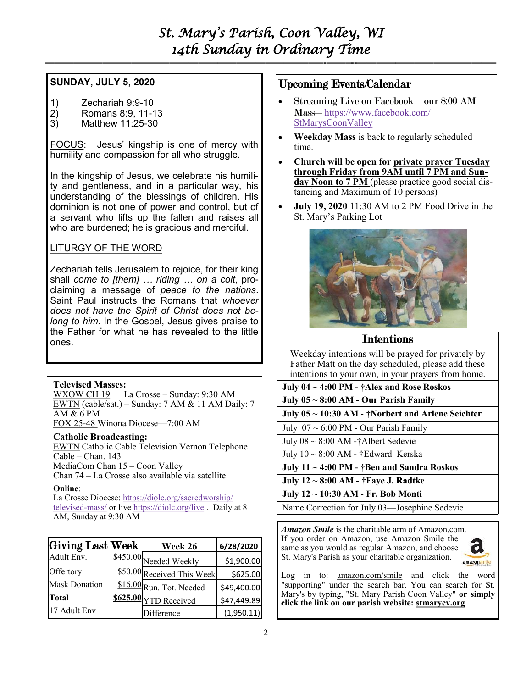# *St. Mary's Parish, Coon Valley, WI 14th Sunday in Ordinary Time*

**—————————————————————————–———–-——–--—————————————–—**

#### **SUNDAY, JULY 5, 2020**

- 1) Zechariah 9:9-10
- 2) Romans 8:9, 11-13
- 3) Matthew 11:25-30

FOCUS: Jesus' kingship is one of mercy with humility and compassion for all who struggle.

In the kingship of Jesus, we celebrate his humility and gentleness, and in a particular way, his understanding of the blessings of children. His dominion is not one of power and control, but of a servant who lifts up the fallen and raises all who are burdened; he is gracious and merciful.

## LITURGY OF THE WORD

Zechariah tells Jerusalem to rejoice, for their king shall *come to [them] … riding … on a colt*, proclaiming a message of *peace to the nations*. Saint Paul instructs the Romans that *whoever does not have the Spirit of Christ does not belong to him*. In the Gospel, Jesus gives praise to the Father for what he has revealed to the little ones.

#### **Televised Masses:**

WXOW CH 19 La Crosse – Sunday: 9:30 AM  $\overline{\text{EWTN}}$  (cable/sat.) – Sunday: 7 AM & 11 AM Daily: 7 AM & 6 PM FOX 25-48 Winona Diocese—7:00 AM

#### **Catholic Broadcasting:**

EWTN Catholic Cable Television Vernon Telephone Cable – Chan. 143 MediaCom Chan 15 – Coon Valley Chan 74 – La Crosse also available via satellite

#### **Online**:

La Crosse Diocese: [https://diolc.org/sacredworship/](https://diolc.org/sacredworship/televised-mass/) [televised-mass/](https://diolc.org/sacredworship/televised-mass/) or live <https://diolc.org/live> . Daily at 8 AM, Sunday at 9:30 AM

| Giving Last Week     | Week 26                      | 6/28/2020   |
|----------------------|------------------------------|-------------|
| Adult Env.           | \$450.00 Needed Weekly       | \$1,900.00  |
| Offertory            | \$50.00 Received This Week   | \$625.00    |
| <b>Mask Donation</b> | \$16.00 Run. Tot. Needed     | \$49,400.00 |
| Total                | <b>\$625.00</b> YTD Received | \$47,449.89 |
| 17 Adult Env         | Difference                   | (1,950.11)  |

## Upcoming Events/Calendar

- Streaming Live on Facebook—our 8:00 AM Mass—[https://www.facebook.com/](https://www.facebook.com/StMarysCoonValley) [StMarysCoonValley](https://www.facebook.com/StMarysCoonValley)
- **Weekday Mass** is back to regularly scheduled time.
- **Church will be open for private prayer Tuesday through Friday from 9AM until 7 PM and Sunday Noon to 7 PM** (please practice good social distancing and Maximum of 10 persons)
- **July 19, 2020** 11:30 AM to 2 PM Food Drive in the St. Mary's Parking Lot



## **Intentions**

Weekday intentions will be prayed for privately by Father Matt on the day scheduled, please add these intentions to your own, in your prayers from home.

| July 04 ~ 4:00 PM - †Alex and Rose Roskos              |
|--------------------------------------------------------|
| July $05 \sim 8:00$ AM - Our Parish Family             |
| July $05 \sim 10:30$ AM - †Norbert and Arlene Seichter |
| July $07 \sim 6:00 \text{ PM}$ - Our Parish Family     |

July  $08 \sim 8:00$  AM -†Albert Sedevie

July 10 ~ 8:00 AM - †Edward Kerska

**July 11 ~ 4:00 PM - †Ben and Sandra Roskos**

**July 12 ~ 8:00 AM - †Faye J. Radtke**

**July 12 ~ 10:30 AM - Fr. Bob Monti**

Name Correction for July 03—Josephine Sedevie

*Amazon Smile* is the charitable arm of Amazon.com. If you order on Amazon, use Amazon Smile the same as you would as regular Amazon, and choose St. Mary's Parish as your charitable organization.



Log in to: [amazon.com/smile](http://amazon.com/smile) and click the word "supporting" under the search bar. You can search for St. Mary's by typing, "St. Mary Parish Coon Valley" **or simply click the link on our parish website: <stmarycv.org>**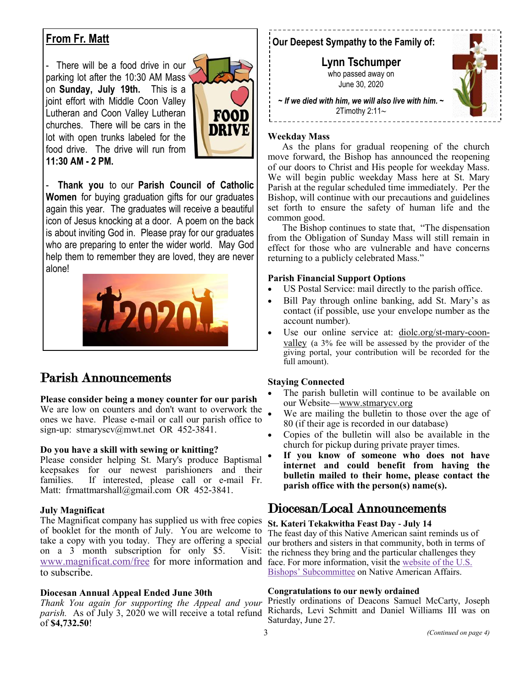## **From Fr. Matt**

- There will be a food drive in our parking lot after the 10:30 AM Mass on **Sunday, July 19th.** This is a joint effort with Middle Coon Valley Lutheran and Coon Valley Lutheran churches. There will be cars in the lot with open trunks labeled for the food drive. The drive will run from **11:30 AM - 2 PM.** 



- **Thank you** to our **Parish Council of Catholic Women** for buying graduation gifts for our graduates again this year. The graduates will receive a beautiful icon of Jesus knocking at a door. A poem on the back is about inviting God in. Please pray for our graduates who are preparing to enter the wider world. May God help them to remember they are loved, they are never alone!



## Parish Announcements

**Please consider being a money counter for our parish**  We are low on counters and don't want to overwork the

ones we have. Please e-mail or call our parish office to sign-up: stmaryscv@mwt.net OR 452-3841.

#### **Do you have a skill with sewing or knitting?**

Please consider helping St. Mary's produce Baptismal keepsakes for our newest parishioners and their families. If interested, please call or e-mail Fr. Matt: frmattmarshall@gmail.com OR 452-3841.

#### **July Magnificat**

The Magnificat company has supplied us with free copies of booklet for the month of July. You are welcome to take a copy with you today. They are offering a special on a 3 month subscription for only \$5. Visit: [www.magnificat.com/free](http://www.magnificat.com/free) for more information and face. For more information, visit the website of the U.S. to subscribe.

#### **Diocesan Annual Appeal Ended June 30th**

*Thank You again for supporting the Appeal and your parish.* As of July 3, 2020 we will receive a total refund of **\$4,732.50**!

**Our Deepest Sympathy to the Family of:**

**Lynn Tschumper**  who passed away on June 30, 2020



*~ If we died with him, we will also live with him. ~*  2Timothy 2:11*~*

#### **Weekday Mass**

 As the plans for gradual reopening of the church move forward, the Bishop has announced the reopening of our doors to Christ and His people for weekday Mass. We will begin public weekday Mass here at St. Mary Parish at the regular scheduled time immediately. Per the Bishop, will continue with our precautions and guidelines set forth to ensure the safety of human life and the common good.

 The Bishop continues to state that, "The dispensation from the Obligation of Sunday Mass will still remain in effect for those who are vulnerable and have concerns returning to a publicly celebrated Mass."

#### **Parish Financial Support Options**

- US Postal Service: mail directly to the parish office.
- Bill Pay through online banking, add St. Mary's as contact (if possible, use your envelope number as the account number).
- Use our online service at: [diolc.org/st-mary-coon](http://www.diolc.org/st-mary-coon-valley)[valley](http://www.diolc.org/st-mary-coon-valley) (a 3% fee will be assessed by the provider of the giving portal, your contribution will be recorded for the full amount).

#### **Staying Connected**

- The parish bulletin will continue to be available on our Website—[www.stmarycv.org](http://www.stmarycv.org)
- We are mailing the bulletin to those over the age of 80 (if their age is recorded in our database)
- Copies of the bulletin will also be available in the church for pickup during private prayer times.
- **If you know of someone who does not have internet and could benefit from having the bulletin mailed to their home, please contact the parish office with the person(s) name(s).**

## Diocesan/Local Announcements

## **St. Kateri Tekakwitha Feast Day - July 14**

The feast day of this Native American saint reminds us of our brothers and sisters in that community, both in terms of the richness they bring and the particular challenges they [Bishops' Subcommittee](http://www.usccb.org/issues-and-action/cultural-diversity/native-american/index.cfm) on Native American Affairs.

#### **Congratulations to our newly ordained**

Priestly ordinations of Deacons Samuel McCarty, Joseph Richards, Levi Schmitt and Daniel Williams III was on Saturday, June 27.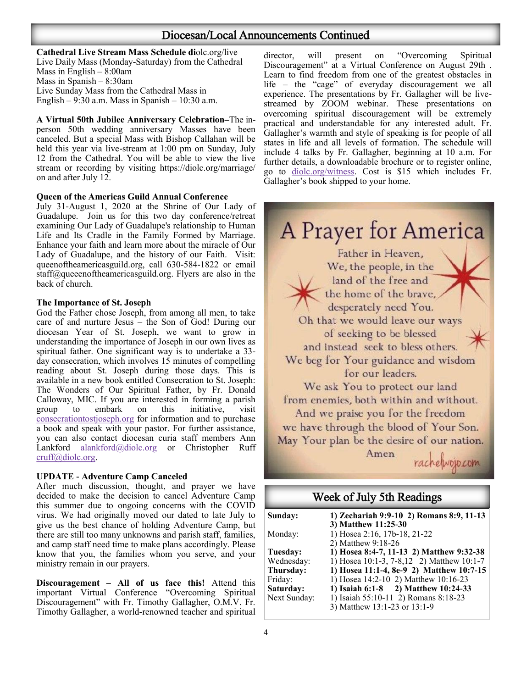#### Diocesan/Local Announcements Continued

**Cathedral Live Stream Mass Schedule di**olc.org/live Live Daily Mass (Monday-Saturday) from the Cathedral Mass in English – 8:00am Mass in Spanish – 8:30am Live Sunday Mass from the Cathedral Mass in English – 9:30 a.m. Mass in Spanish – 10:30 a.m.

**A Virtual 50th Jubilee Anniversary Celebration–**The inperson 50th wedding anniversary Masses have been canceled. But a special Mass with Bishop Callahan will be held this year via live-stream at 1:00 pm on Sunday, July 12 from the Cathedral. You will be able to view the live stream or recording by visiting https://diolc.org/marriage/ on and after July 12.

#### **Queen of the Americas Guild Annual Conference**

July 31-August 1, 2020 at the Shrine of Our Lady of Guadalupe. Join us for this two day conference/retreat examining Our Lady of Guadalupe's relationship to Human Life and Its Cradle in the Family Formed by Marriage. Enhance your faith and learn more about the miracle of Our Lady of Guadalupe, and the history of our Faith. Visit: queenoftheamericasguild.org, call 630-584-1822 or email staff@queeenoftheamericasguild.org. Flyers are also in the back of church.

#### **The Importance of St. Joseph**

God the Father chose Joseph, from among all men, to take care of and nurture Jesus – the Son of God! During our diocesan Year of St. Joseph, we want to grow in understanding the importance of Joseph in our own lives as spiritual father. One significant way is to undertake a 33 day consecration, which involves 15 minutes of compelling reading about St. Joseph during those days. This is available in a new book entitled Consecration to St. Joseph: The Wonders of Our Spiritual Father, by Fr. Donald Calloway, MIC. If you are interested in forming a parish group to embark on this initiative, visit group to embark on this initiative, visit <consecrationtostjoseph.org> for information and to purchase a book and speak with your pastor. For further assistance, you can also contact diocesan curia staff members Ann Lankford [alankford@diolc.org](mailto:alankford@diolc.org) or Christopher Ruff [cruff@diolc.org.](mailto:cruff@diolc.org)

#### **UPDATE - Adventure Camp Canceled**

After much discussion, thought, and prayer we have decided to make the decision to cancel Adventure Camp this summer due to ongoing concerns with the COVID virus. We had originally moved our dated to late July to give us the best chance of holding Adventure Camp, but there are still too many unknowns and parish staff, families, and camp staff need time to make plans accordingly. Please know that you, the families whom you serve, and your ministry remain in our prayers.

**Discouragement – All of us face this!** Attend this important Virtual Conference "Overcoming Spiritual Discouragement" with Fr. Timothy Gallagher, O.M.V. Fr. Timothy Gallagher, a world-renowned teacher and spiritual director, will present on "Overcoming Spiritual Discouragement" at a Virtual Conference on August 29th . Learn to find freedom from one of the greatest obstacles in life – the "cage" of everyday discouragement we all experience. The presentations by Fr. Gallagher will be livestreamed by ZOOM webinar. These presentations on overcoming spiritual discouragement will be extremely practical and understandable for any interested adult. Fr. Gallagher's warmth and style of speaking is for people of all states in life and all levels of formation. The schedule will include 4 talks by Fr. Gallagher, beginning at 10 a.m. For further details, a downloadable brochure or to register online, go to [diolc.org/witness.](https://diolc.org/catechesis/witness/) Cost is \$15 which includes Fr. Gallagher's book shipped to your home.



### Week of July 5th Readings

| Sunday:      | 1) Zechariah 9:9-10 2) Romans 8:9, 11-13<br>3) Matthew 11:25-30      |
|--------------|----------------------------------------------------------------------|
| Monday:      | 1) Hosea 2:16, 17b-18, 21-22<br>2) Matthew 9:18-26                   |
| Tuesday:     | 1) Hosea 8:4-7, 11-13 2) Matthew 9:32-38                             |
| Wednesday:   | 1) Hosea 10:1-3, 7-8,12 2) Matthew 10:1-7                            |
| Thursday:    | 1) Hosea 11:1-4, 8e-9 2) Matthew 10:7-15                             |
| Friday:      | 1) Hosea 14:2-10 2) Matthew 10:16-23                                 |
| Saturday:    | 1) Isaiah 6:1-8 2) Matthew 10:24-33                                  |
| Next Sunday: | 1) Isaiah 55:10-11 2) Romans 8:18-23<br>3) Matthew 13:1-23 or 13:1-9 |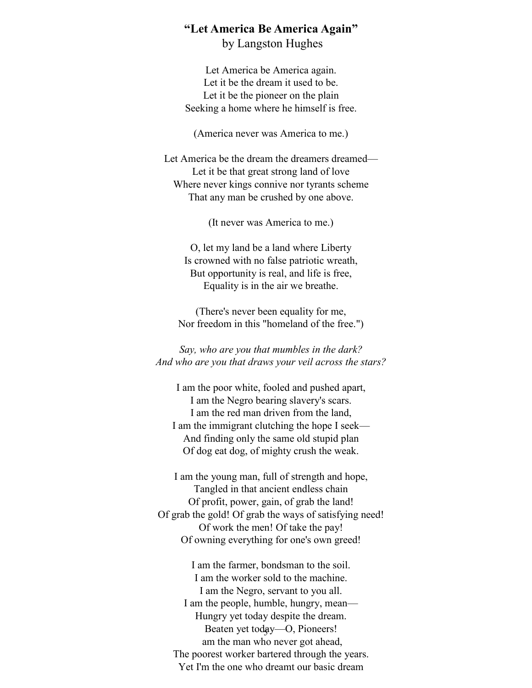# **"Let America Be America Again"**

by Langston Hughes

Let America be America again. Let it be the dream it used to be. Let it be the pioneer on the plain Seeking a home where he himself is free.

(America never was America to me.)

Let America be the dream the dreamers dreamed— Let it be that great strong land of love Where never kings connive nor tyrants scheme That any man be crushed by one above.

(It never was America to me.)

O, let my land be a land where Liberty Is crowned with no false patriotic wreath, But opportunity is real, and life is free, Equality is in the air we breathe.

(There's never been equality for me, Nor freedom in this "homeland of the free.")

*Say, who are you that mumbles in the dark? And who are you that draws your veil across the stars?*

I am the poor white, fooled and pushed apart, I am the Negro bearing slavery's scars. I am the red man driven from the land, I am the immigrant clutching the hope I seek— And finding only the same old stupid plan Of dog eat dog, of mighty crush the weak.

I am the young man, full of strength and hope, Tangled in that ancient endless chain Of profit, power, gain, of grab the land! Of grab the gold! Of grab the ways of satisfying need! Of work the men! Of take the pay! Of owning everything for one's own greed!

Beaten yet today-O, Pioneers! I am the farmer, bondsman to the soil. I am the worker sold to the machine. I am the Negro, servant to you all. I am the people, humble, hungry, mean— Hungry yet today despite the dream. am the man who never got ahead, The poorest worker bartered through the years. Yet I'm the one who dreamt our basic dream